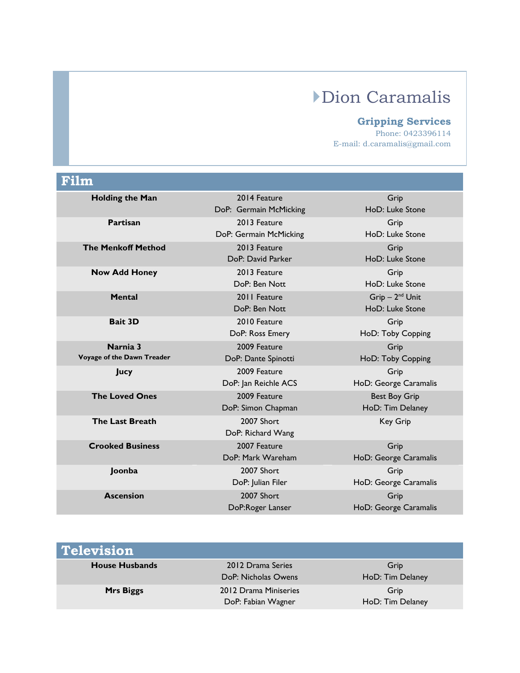## Dion Caramalis

## **Gripping Services**

Phone: 0423396114 E-mail: d.caramalis@gmail.com

| Film                                   |                                        |                                          |
|----------------------------------------|----------------------------------------|------------------------------------------|
| <b>Holding the Man</b>                 | 2014 Feature<br>DoP: Germain McMicking | Grip<br>HoD: Luke Stone                  |
| Partisan                               | 2013 Feature<br>DoP: Germain McMicking | Grip<br>HoD: Luke Stone                  |
| <b>The Menkoff Method</b>              | 2013 Feature<br>DoP: David Parker      | Grip<br>HoD: Luke Stone                  |
| <b>Now Add Honey</b>                   | 2013 Feature<br>DoP: Ben Nott          | Grip<br>HoD: Luke Stone                  |
| <b>Mental</b>                          | 2011 Feature<br>DoP: Ben Nott          | $Grip - 2nd Unit$<br>HoD: Luke Stone     |
| <b>Bait 3D</b>                         | 2010 Feature<br>DoP: Ross Emery        | Grip<br>HoD: Toby Copping                |
| Narnia 3<br>Voyage of the Dawn Treader | 2009 Feature<br>DoP: Dante Spinotti    | Grip<br>HoD: Toby Copping                |
| <b>Jucy</b>                            | 2009 Feature<br>DoP: Jan Reichle ACS   | Grip<br>HoD: George Caramalis            |
| <b>The Loved Ones</b>                  | 2009 Feature<br>DoP: Simon Chapman     | <b>Best Boy Grip</b><br>HoD: Tim Delaney |
| <b>The Last Breath</b>                 | 2007 Short<br>DoP: Richard Wang        | <b>Key Grip</b>                          |
| <b>Crooked Business</b>                | 2007 Feature<br>DoP: Mark Wareham      | Grip<br>HoD: George Caramalis            |
| Joonba                                 | 2007 Short<br>DoP: Julian Filer        | Grip<br>HoD: George Caramalis            |
| <b>Ascension</b>                       | 2007 Short<br>DoP:Roger Lanser         | Grip<br>HoD: George Caramalis            |

| <b>Television</b>     |                                             |                          |
|-----------------------|---------------------------------------------|--------------------------|
| <b>House Husbands</b> | 2012 Drama Series<br>DoP: Nicholas Owens    | Grip<br>HoD: Tim Delaney |
| <b>Mrs Biggs</b>      | 2012 Drama Miniseries<br>DoP: Fabian Wagner | Grip<br>HoD: Tim Delaney |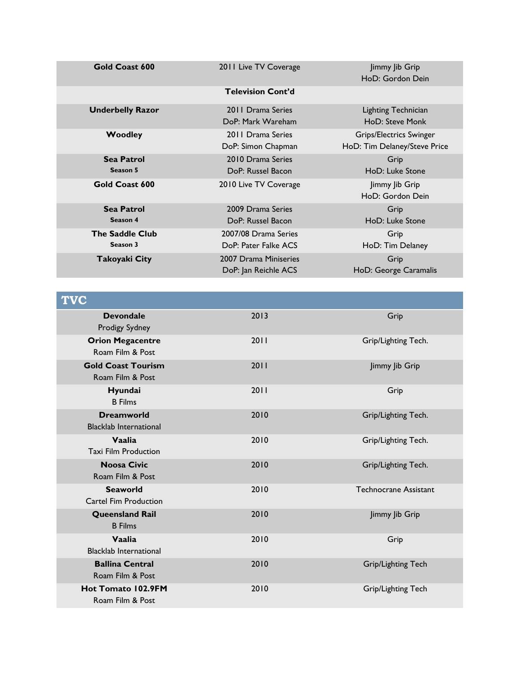| Gold Coast 600                     | 2011 Live TV Coverage                         | Jimmy Jib Grip<br>HoD: Gordon Dein                      |
|------------------------------------|-----------------------------------------------|---------------------------------------------------------|
|                                    | <b>Television Cont'd</b>                      |                                                         |
| <b>Underbelly Razor</b>            | 2011 Drama Series<br>DoP: Mark Wareham        | Lighting Technician<br>HoD: Steve Monk                  |
| <b>Woodley</b>                     | 2011 Drama Series<br>DoP: Simon Chapman       | Grips/Electrics Swinger<br>HoD: Tim Delaney/Steve Price |
| <b>Sea Patrol</b><br>Season 5      | 2010 Drama Series<br>DoP: Russel Bacon        | Grip<br>HoD: Luke Stone                                 |
| Gold Coast 600                     | 2010 Live TV Coverage                         | Jimmy Jib Grip<br>HoD: Gordon Dein                      |
| <b>Sea Patrol</b><br>Season 4      | 2009 Drama Series<br>DoP: Russel Bacon        | Grip<br>HoD: Luke Stone                                 |
| <b>The Saddle Club</b><br>Season 3 | 2007/08 Drama Series<br>DoP: Pater Falke ACS  | Grip<br>HoD: Tim Delaney                                |
| Takoyaki City                      | 2007 Drama Miniseries<br>DoP: Jan Reichle ACS | Grip<br>HoD: George Caramalis                           |

| <b>TVC</b>                                         |      |                              |
|----------------------------------------------------|------|------------------------------|
| <b>Devondale</b><br>Prodigy Sydney                 | 2013 | Grip                         |
| <b>Orion Megacentre</b><br>Roam Film & Post        | 2011 | Grip/Lighting Tech.          |
| <b>Gold Coast Tourism</b><br>Roam Film & Post      | 2011 | Jimmy Jib Grip               |
| Hyundai<br><b>B</b> Films                          | 2011 | Grip                         |
| <b>Dreamworld</b><br><b>Blacklab International</b> | 2010 | Grip/Lighting Tech.          |
| Vaalia<br><b>Taxi Film Production</b>              | 2010 | Grip/Lighting Tech.          |
| <b>Noosa Civic</b><br>Roam Film & Post             | 2010 | Grip/Lighting Tech.          |
| <b>Seaworld</b><br>Cartel Fim Production           | 2010 | <b>Technocrane Assistant</b> |
| <b>Queensland Rail</b><br><b>B</b> Films           | 2010 | Jimmy Jib Grip               |
| Vaalia<br><b>Blacklab International</b>            | 2010 | Grip                         |
| <b>Ballina Central</b><br>Roam Film & Post         | 2010 | Grip/Lighting Tech           |
| Hot Tomato 102.9FM<br>Roam Film & Post             | 2010 | Grip/Lighting Tech           |